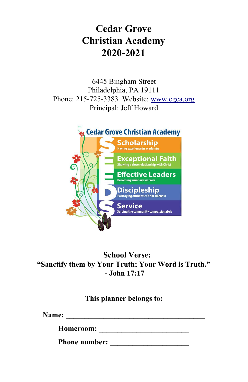# **Cedar Grove Christian Academy 2020-2021**

6445 Bingham Street Philadelphia, PA 19111 Phone: 215-725-3383 Website: [www.cgca.org](http://www.cgca.org/) Principal: Jeff Howard



## **School Verse: "Sanctify them by Your Truth; Your Word is Truth." - John 17:17**

**This planner belongs to:**

**Name: \_\_\_\_\_\_\_\_\_\_\_\_\_\_\_\_\_\_\_\_\_\_\_\_\_\_\_\_\_\_\_\_\_\_\_\_\_**

**Homeroom: \_\_\_\_\_\_\_\_\_\_\_\_\_\_\_\_\_\_\_\_\_\_\_\_**

**Phone number:**  $\blacksquare$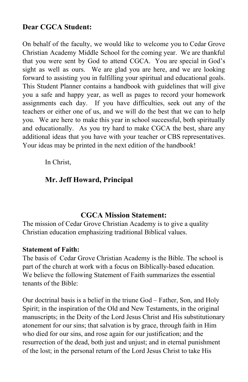#### **Dear CGCA Student:**

On behalf of the faculty, we would like to welcome you to Cedar Grove Christian Academy Middle School for the coming year. We are thankful that you were sent by God to attend CGCA. You are special in God's sight as well as ours. We are glad you are here, and we are looking forward to assisting you in fulfilling your spiritual and educational goals. This Student Planner contains a handbook with guidelines that will give you a safe and happy year, as well as pages to record your homework assignments each day. If you have difficulties, seek out any of the teachers or either one of us, and we will do the best that we can to help you. We are here to make this year in school successful, both spiritually and educationally. As you try hard to make CGCA the best, share any additional ideas that you have with your teacher or CBS representatives. Your ideas may be printed in the next edition of the handbook!

In Christ,

#### **Mr. Jeff Howard, Principal**

#### **CGCA Mission Statement:**

The mission of Cedar Grove Christian Academy is to give a quality Christian education emphasizing traditional Biblical values.

#### **Statement of Faith:**

The basis of Cedar Grove Christian Academy is the Bible. The school is part of the church at work with a focus on Biblically-based education. We believe the following Statement of Faith summarizes the essential tenants of the Bible:

Our doctrinal basis is a belief in the triune God – Father, Son, and Holy Spirit; in the inspiration of the Old and New Testaments, in the original manuscripts; in the Deity of the Lord Jesus Christ and His substitutionary atonement for our sins; that salvation is by grace, through faith in Him who died for our sins, and rose again for our justification; and the resurrection of the dead, both just and unjust; and in eternal punishment of the lost; in the personal return of the Lord Jesus Christ to take His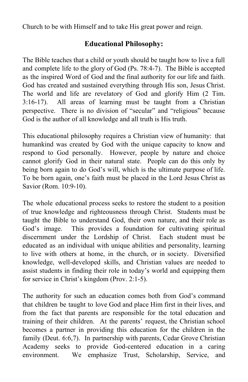Church to be with Himself and to take His great power and reign.

#### **Educational Philosophy:**

The Bible teaches that a child or youth should be taught how to live a full and complete life to the glory of God (Ps. 78:4-7). The Bible is accepted as the inspired Word of God and the final authority for our life and faith. God has created and sustained everything through His son, Jesus Christ. The world and life are revelatory of God and glorify Him (2 Tim. 3:16-17). All areas of learning must be taught from a Christian perspective. There is no division of "secular" and "religious" because God is the author of all knowledge and all truth is His truth.

This educational philosophy requires a Christian view of humanity: that humankind was created by God with the unique capacity to know and respond to God personally. However, people by nature and choice cannot glorify God in their natural state. People can do this only by being born again to do God's will, which is the ultimate purpose of life. To be born again, one's faith must be placed in the Lord Jesus Christ as Savior (Rom. 10:9-10).

The whole educational process seeks to restore the student to a position of true knowledge and righteousness through Christ. Students must be taught the Bible to understand God, their own nature, and their role as God's image. This provides a foundation for cultivating spiritual discernment under the Lordship of Christ. Each student must be educated as an individual with unique abilities and personality, learning to live with others at home, in the church, or in society. Diversified knowledge, well-developed skills, and Christian values are needed to assist students in finding their role in today's world and equipping them for service in Christ's kingdom (Prov. 2:1-5).

The authority for such an education comes both from God's command that children be taught to love God and place Him first in their lives, and from the fact that parents are responsible for the total education and training of their children. At the parents' request, the Christian school becomes a partner in providing this education for the children in the family (Deut. 6:6,7). In partnership with parents, Cedar Grove Christian Academy seeks to provide God-centered education in a caring environment. We emphasize Trust, Scholarship, Service, and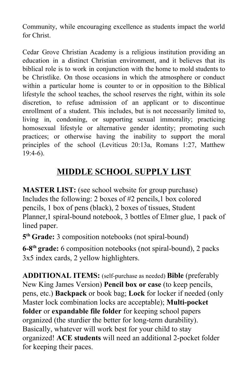Community, while encouraging excellence as students impact the world for Christ.

Cedar Grove Christian Academy is a religious institution providing an education in a distinct Christian environment, and it believes that its biblical role is to work in conjunction with the home to mold students to be Christlike. On those occasions in which the atmosphere or conduct within a particular home is counter to or in opposition to the Biblical lifestyle the school teaches, the school reserves the right, within its sole discretion, to refuse admission of an applicant or to discontinue enrollment of a student. This includes, but is not necessarily limited to, living in, condoning, or supporting sexual immorality; practicing homosexual lifestyle or alternative gender identity; promoting such practices; or otherwise having the inability to support the moral principles of the school (Leviticus 20:13a, Romans 1:27, Matthew 19:4-6).

## **MIDDLE SCHOOL SUPPLY LIST**

**MASTER LIST:** (see school website for group purchase) Includes the following: 2 boxes of #2 pencils,1 box colored pencils, 1 box of pens (black), 2 boxes of tissues, Student Planner,1 spiral-bound notebook, 3 bottles of Elmer glue, 1 pack of lined paper.

**5 th Grade:** 3 composition notebooks (not spiral-bound)

**6-8th grade:** 6 composition notebooks (not spiral-bound), 2 packs 3x5 index cards, 2 yellow highlighters.

**ADDITIONAL ITEMS:** (self-purchase as needed) **Bible** (preferably New King James Version) **Pencil box or case** (to keep pencils, pens, etc.) **Backpack** or book bag; **Lock** for locker if needed (only Master lock combination locks are acceptable); **Multi-pocket folder** or **expandable file folder** for keeping school papers organized (the sturdier the better for long-term durability). Basically, whatever will work best for your child to stay organized! **ACE students** will need an additional 2-pocket folder for keeping their paces.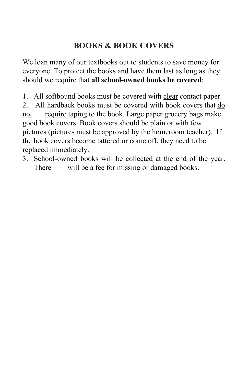# **BOOKS & BOOK COVERS**

We loan many of our textbooks out to students to save money for everyone. To protect the books and have them last as long as they should we require that **all school-owned books be covered**:

1. All softbound books must be covered with clear contact paper.

2. All hardback books must be covered with book covers that do not require taping to the book. Large paper grocery bags make good book covers. Book covers should be plain or with few pictures (pictures must be approved by the homeroom teacher). If the book covers become tattered or come off, they need to be replaced immediately.

3. School-owned books will be collected at the end of the year. There will be a fee for missing or damaged books.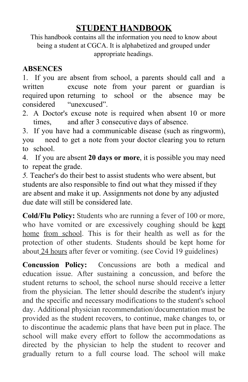## **STUDENT HANDBOOK**

This handbook contains all the information you need to know about being a student at CGCA. It is alphabetized and grouped under appropriate headings.

## **ABSENCES**

1. If you are absent from school, a parents should call and a written excuse note from your parent or guardian is required upon returning to school or the absence may be considered "unexcused".

2. A Doctor's excuse note is required when absent 10 or more times, and after 3 consecutive days of absence.

3. If you have had a communicable disease (such as ringworm), you need to get a note from your doctor clearing you to return to school.

4. If you are absent **20 days or more**, it is possible you may need to repeat the grade.

*5.* Teacher's do their best to assist students who were absent, but students are also responsible to find out what they missed if they are absent and make it up. Assignments not done by any adjusted due date will still be considered late.

**Cold/Flu Policy:** Students who are running a fever of 100 or more, who have vomited or are excessively coughing should be kept home from school. This is for their health as well as for the protection of other students. Students should be kept home for about 24 hours after fever or vomiting. (see Covid 19 guidelines)

**Concussion Policy:** Concussions are both a medical and education issue. After sustaining a concussion, and before the student returns to school, the school nurse should receive a letter from the physician. The letter should describe the student's injury and the specific and necessary modifications to the student's school day. Additional physician recommendation/documentation must be provided as the student recovers, to continue, make changes to, or to discontinue the academic plans that have been put in place. The school will make every effort to follow the accommodations as directed by the physician to help the student to recover and gradually return to a full course load. The school will make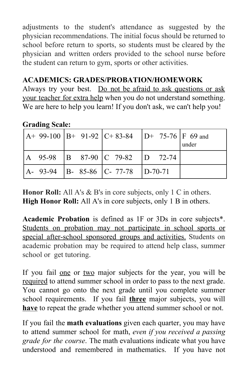adjustments to the student's attendance as suggested by the physician recommendations. The initial focus should be returned to school before return to sports, so students must be cleared by the physician and written orders provided to the school nurse before the student can return to gym, sports or other activities.

## **ACADEMICS: GRADES/PROBATION/HOMEWORK**

Always try your best. Do not be afraid to ask questions or ask your teacher for extra help when you do not understand something. We are here to help you learn! If you don't ask, we can't help you!

## **Grading Scale:**

|  |  | $A+99-100$ B+ 91-92 C+83-84 D+ 75-76 F 69 and |  | under |
|--|--|-----------------------------------------------|--|-------|
|  |  | A 95-98 B 87-90 C 79-82 D 72-74               |  |       |
|  |  | A- 93-94 B- 85-86 C- 77-78 D-70-71            |  |       |

**Honor Roll:** All A's & B's in core subjects, only 1 C in others. **High Honor Roll:** All A's in core subjects, only 1 B in others.

**Academic Probation** is defined as 1F or 3Ds in core subjects\*. Students on probation may not participate in school sports or special after-school sponsored groups and activities. Students on academic probation may be required to attend help class, summer school or get tutoring.

If you fail one or two major subjects for the year, you will be required to attend summer school in order to pass to the next grade. You cannot go onto the next grade until you complete summer school requirements. If you fail **three** major subjects, you will **have** to repeat the grade whether you attend summer school or not.

If you fail the **math evaluations** given each quarter, you may have to attend summer school for math, *even if you received a passing grade for the course*. The math evaluations indicate what you have understood and remembered in mathematics. If you have not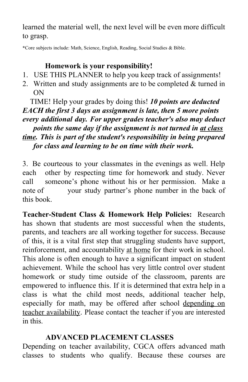learned the material well, the next level will be even more difficult to grasp.

**\***Core subjects include: Math, Science, English, Reading, Social Studies & Bible.

#### **Homework is your responsibility!**

- 1. USE THIS PLANNER to help you keep track of assignments!
- 2. Written and study assignments are to be completed  $&$  turned in ON

 TIME! Help your grades by doing this! *10 points are deducted EACH the first 3 days an assignment is late, then 5 more points every additional day. For upper grades teacher's also may deduct points the same day if the assignment is not turned in at class time. This is part of the student's responsibility in being prepared for class and learning to be on time with their work.*

3. Be courteous to your classmates in the evenings as well. Help each other by respecting time for homework and study. Never call someone's phone without his or her permission. Make a note of your study partner's phone number in the back of this book.

**Teacher-Student Class & Homework Help Policies:** Research has shown that students are most successful when the students, parents, and teachers are all working together for success. Because of this, it is a vital first step that struggling students have support, reinforcement, and accountability at home for their work in school. This alone is often enough to have a significant impact on student achievement. While the school has very little control over student homework or study time outside of the classroom, parents are empowered to influence this. If it is determined that extra help in a class is what the child most needs, additional teacher help, especially for math, may be offered after school depending on teacher availability. Please contact the teacher if you are interested in this.

#### **ADVANCED PLACEMENT CLASSES**

Depending on teacher availability, CGCA offers advanced math classes to students who qualify. Because these courses are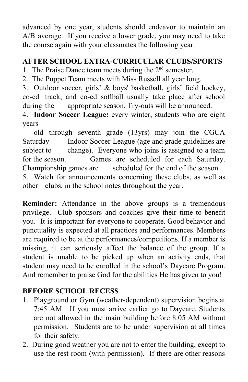advanced by one year, students should endeavor to maintain an A/B average. If you receive a lower grade, you may need to take the course again with your classmates the following year.

## **AFTER SCHOOL EXTRA-CURRICULAR CLUBS/SPORTS**

1. The Praise Dance team meets during the  $2<sup>nd</sup>$  semester.

2. The Puppet Team meets with Miss Russell all year long.

3. Outdoor soccer, girls' & boys' basketball, girls' field hockey, co-ed track, and co-ed softball usually take place after school during the appropriate season. Try-outs will be announced.

4. **Indoor Soccer League:** every winter, students who are eight years

old through seventh grade (13yrs) may join the CGCA Saturday Indoor Soccer League (age and grade guidelines are subject to change). Everyone who joins is assigned to a team for the season. Games are scheduled for each Saturday. Championship games are scheduled for the end of the season. 5. Watch for announcements concerning these clubs, as well as

other clubs, in the school notes throughout the year.

**Reminder:** Attendance in the above groups is a tremendous privilege. Club sponsors and coaches give their time to benefit you. It is important for everyone to cooperate. Good behavior and punctuality is expected at all practices and performances. Members are required to be at the performances/competitions. If a member is missing, it can seriously affect the balance of the group. If a student is unable to be picked up when an activity ends, that student may need to be enrolled in the school's Daycare Program. And remember to praise God for the abilities He has given to you!

## **BEFORE SCHOOL RECESS**

- 1. Playground or Gym (weather-dependent) supervision begins at 7:45 AM. If you must arrive earlier go to Daycare. Students are not allowed in the main building before 8:05 AM without permission. Students are to be under supervision at all times for their safety.
- 2. During good weather you are not to enter the building, except to use the rest room (with permission). If there are other reasons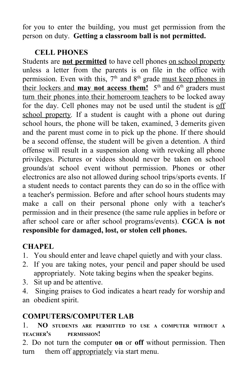for you to enter the building, you must get permission from the person on duty. **Getting a classroom ball is not permitted.**

## **CELL PHONES**

Students are **not permitted** to have cell phones on school property unless a letter from the parents is on file in the office with permission. Even with this,  $7<sup>th</sup>$  and  $8<sup>th</sup>$  grade <u>must keep phones in</u> their lockers and **may not access them!** 5 th and 6 th graders must turn their phones into their homeroom teachers to be locked away for the day. Cell phones may not be used until the student is off school property*.* If a student is caught with a phone out during school hours, the phone will be taken, examined, 3 demerits given and the parent must come in to pick up the phone. If there should be a second offense, the student will be given a detention. A third offense will result in a suspension along with revoking all phone privileges. Pictures or videos should never be taken on school grounds/at school event without permission. Phones or other electronics are also not allowed during school trips/sports events. If a student needs to contact parents they can do so in the office with a teacher's permission. Before and after school hours students may make a call on their personal phone only with a teacher's permission and in their presence (the same rule applies in before or after school care or after school programs/events). **CGCA is not responsible for damaged, lost, or stolen cell phones.**

## **CHAPEL**

- 1. You should enter and leave chapel quietly and with your class.
- 2. If you are taking notes, your pencil and paper should be used appropriately. Note taking begins when the speaker begins.
- 3. Sit up and be attentive.
- 4. Singing praises to God indicates a heart ready for worship and an obedient spirit.

## **COMPUTERS/COMPUTER LAB**

1. **NO STUDENTS ARE PERMITTED TO USE <sup>A</sup> COMPUTER WITHOUT <sup>A</sup> TEACHER'<sup>S</sup> PERMISSION!**

2. Do not turn the computer **on** or **off** without permission. Then turn them off appropriately via start menu.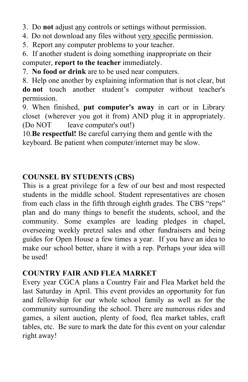3. Do **not** adjust any controls or settings without permission.

- 4. Do not download any files without very specific permission.
- 5. Report any computer problems to your teacher.

6. If another student is doing something inappropriate on their computer, **report to the teacher** immediately.

7. **No food or drink** are to be used near computers.

8. Help one another by explaining information that is not clear, but **do not** touch another student's computer without teacher's permission.

9. When finished, **put computer's away** in cart or in Library closet (wherever you got it from) AND plug it in appropriately. (Do NOT leave computer's out!)

10.**Be respectful!** Be careful carrying them and gentle with the keyboard. Be patient when computer/internet may be slow.

## **COUNSEL BY STUDENTS (CBS)**

This is a great privilege for a few of our best and most respected students in the middle school. Student representatives are chosen from each class in the fifth through eighth grades. The CBS "reps" plan and do many things to benefit the students, school, and the community. Some examples are leading pledges in chapel, overseeing weekly pretzel sales and other fundraisers and being guides for Open House a few times a year. If you have an idea to make our school better, share it with a rep. Perhaps your idea will be used!

#### **COUNTRY FAIR AND FLEA MARKET**

Every year CGCA plans a Country Fair and Flea Market held the last Saturday in April. This event provides an opportunity for fun and fellowship for our whole school family as well as for the community surrounding the school. There are numerous rides and games, a silent auction, plenty of food, flea market tables, craft tables, etc. Be sure to mark the date for this event on your calendar right away!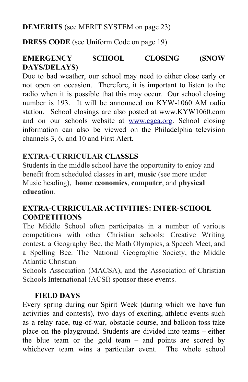#### **DEMERITS** (see MERIT SYSTEM on page 23)

**DRESS CODE** (see Uniform Code on page 19)

#### **EMERGENCY SCHOOL CLOSING (SNOW DAYS/DELAYS)**

Due to bad weather, our school may need to either close early or not open on occasion. Therefore, it is important to listen to the radio when it is possible that this may occur. Our school closing number is 193. It will be announced on KYW-1060 AM radio station. School closings are also posted at www.KYW1060.com and on our schools website at [www.cgca.org](http://www.cgca.org/). School closing information can also be viewed on the Philadelphia television channels 3, 6, and 10 and First Alert.

#### **EXTRA-CURRICULAR CLASSES**

Students in the middle school have the opportunity to enjoy and benefit from scheduled classes in **art**, **music** (see more under Music heading), **home economics**, **computer**, and **physical education**.

#### **EXTRA-CURRICULAR ACTIVITIES: INTER-SCHOOL COMPETITIONS**

The Middle School often participates in a number of various competitions with other Christian schools: Creative Writing contest, a Geography Bee, the Math Olympics, a Speech Meet, and a Spelling Bee. The National Geographic Society, the Middle Atlantic Christian

Schools Association (MACSA), and the Association of Christian Schools International (ACSI) sponsor these events.

#### **FIELD DAYS**

Every spring during our Spirit Week (during which we have fun activities and contests), two days of exciting, athletic events such as a relay race, tug-of-war, obstacle course, and balloon toss take place on the playground. Students are divided into teams – either the blue team or the gold team – and points are scored by whichever team wins a particular event. The whole school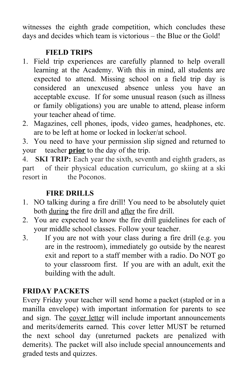witnesses the eighth grade competition, which concludes these days and decides which team is victorious – the Blue or the Gold!

## **FIELD TRIPS**

- 1. Field trip experiences are carefully planned to help overall learning at the Academy. With this in mind, all students are expected to attend. Missing school on a field trip day is considered an unexcused absence unless you have an acceptable excuse. If for some unusual reason (such as illness or family obligations) you are unable to attend, please inform your teacher ahead of time.
- 2. Magazines, cell phones, ipods, video games, headphones, etc. are to be left at home or locked in locker/at school.

3. You need to have your permission slip signed and returned to your teacher **prior** to the day of the trip.

4. **SKI TRIP:** Each year the sixth, seventh and eighth graders, as part of their physical education curriculum, go skiing at a ski resort in the Poconos

## **FIRE DRILLS**

- 1. NO talking during a fire drill! You need to be absolutely quiet both during the fire drill and after the fire drill.
- 2. You are expected to know the fire drill guidelines for each of your middle school classes. Follow your teacher.
- 3. If you are not with your class during a fire drill (e.g. you are in the restroom), immediately go outside by the nearest exit and report to a staff member with a radio. Do NOT go to your classroom first. If you are with an adult, exit the building with the adult.

## **FRIDAY PACKETS**

Every Friday your teacher will send home a packet (stapled or in a manilla envelope) with important information for parents to see and sign. The cover letter will include important announcements and merits/demerits earned. This cover letter MUST be returned the next school day (unreturned packets are penalized with demerits). The packet will also include special announcements and graded tests and quizzes.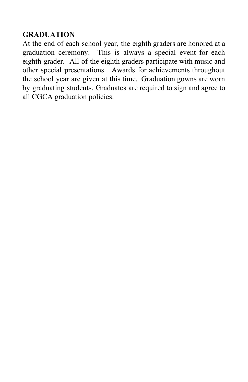## **GRADUATION**

At the end of each school year, the eighth graders are honored at a graduation ceremony. This is always a special event for each eighth grader. All of the eighth graders participate with music and other special presentations. Awards for achievements throughout the school year are given at this time. Graduation gowns are worn by graduating students. Graduates are required to sign and agree to all CGCA graduation policies.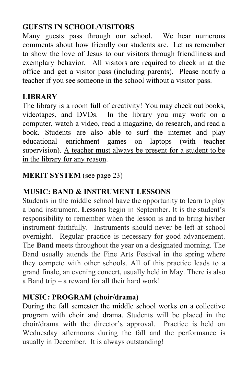## **GUESTS IN SCHOOL/VISITORS**

Many guests pass through our school. We hear numerous comments about how friendly our students are. Let us remember to show the love of Jesus to our visitors through friendliness and exemplary behavior. All visitors are required to check in at the office and get a visitor pass (including parents). Please notify a teacher if you see someone in the school without a visitor pass.

#### **LIBRARY**

The library is a room full of creativity! You may check out books, videotapes, and DVDs. In the library you may work on a computer, watch a video, read a magazine, do research, and read a book. Students are also able to surf the internet and play educational enrichment games on laptops (with teacher supervision). A teacher must always be present for a student to be in the library for any reason.

## **MERIT SYSTEM** (see page 23)

#### **MUSIC: BAND & INSTRUMENT LESSONS**

Students in the middle school have the opportunity to learn to play a band instrument. **Lessons** begin in September. It is the student's responsibility to remember when the lesson is and to bring his/her instrument faithfully. Instruments should never be left at school overnight. Regular practice is necessary for good advancement. The **Band** meets throughout the year on a designated morning. The Band usually attends the Fine Arts Festival in the spring where they compete with other schools. All of this practice leads to a grand finale, an evening concert, usually held in May. There is also a Band trip – a reward for all their hard work!

#### **MUSIC: PROGRAM (choir/drama)**

During the fall semester the middle school works on a collective program with choir and drama. Students will be placed in the choir/drama with the director's approval. Practice is held on Wednesday afternoons during the fall and the performance is usually in December. It is always outstanding!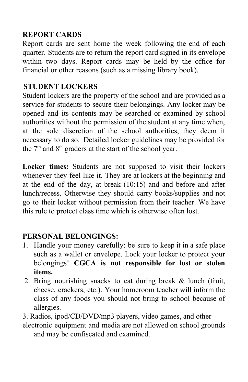## **REPORT CARDS**

Report cards are sent home the week following the end of each quarter. Students are to return the report card signed in its envelope within two days. Report cards may be held by the office for financial or other reasons (such as a missing library book).

#### **STUDENT LOCKERS**

Student lockers are the property of the school and are provided as a service for students to secure their belongings. Any locker may be opened and its contents may be searched or examined by school authorities without the permission of the student at any time when, at the sole discretion of the school authorities, they deem it necessary to do so. Detailed locker guidelines may be provided for the  $7<sup>th</sup>$  and  $8<sup>th</sup>$  graders at the start of the school year.

**Locker times:** Students are not supposed to visit their lockers whenever they feel like it. They are at lockers at the beginning and at the end of the day, at break (10:15) and and before and after lunch/recess. Otherwise they should carry books/supplies and not go to their locker without permission from their teacher. We have this rule to protect class time which is otherwise often lost.

## **PERSONAL BELONGINGS:**

- 1. Handle your money carefully: be sure to keep it in a safe place such as a wallet or envelope. Lock your locker to protect your belongings! **CGCA is not responsible for lost or stolen items.**
- 2. Bring nourishing snacks to eat during break & lunch (fruit, cheese, crackers, etc.). Your homeroom teacher will inform the class of any foods you should not bring to school because of allergies.

3. Radios, ipod/CD/DVD/mp3 players, video games, and other

electronic equipment and media are not allowed on school grounds and may be confiscated and examined.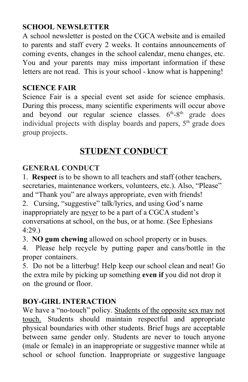## **SCHOOL NEWSLETTER**

A school newsletter is posted on the CGCA website and is emailed to parents and staff every 2 weeks. It contains announcements of coming events, changes in the school calendar, menu changes, etc. You and your parents may miss important information if these letters are not read. This is your school - know what is happening!

#### **SCIENCE FAIR**

Science Fair is a special event set aside for science emphasis. During this process, many scientific experiments will occur above and beyond our regular science classes.  $6<sup>th</sup>-8<sup>th</sup>$  grade does individual projects with display boards and papers, 5<sup>th</sup> grade does group projects.

## **STUDENT CONDUCT**

## **GENERAL CONDUCT**

1. **Respect** is to be shown to all teachers and staff (other teachers, secretaries, maintenance workers, volunteers, etc.). Also, "Please" and "Thank you" are always appropriate, even with friends!

2. Cursing, "suggestive" talk/lyrics, and using God's name inappropriately are never to be a part of a CGCA student's conversations at school, on the bus, or at home. (See Ephesians 4:29.)

3. **NO gum chewing** allowed on school property or in buses.

4. Please help recycle by putting paper and cans/bottle in the proper containers.

5. Do not be a litterbug! Help keep our school clean and neat! Go the extra mile by picking up something **even if** you did not drop it on the ground or floor.

## **BOY-GIRL INTERACTION**

We have a "no-touch" policy. Students of the opposite sex may not touch. Students should maintain respectful and appropriate physical boundaries with other students. Brief hugs are acceptable between same gender only. Students are never to touch anyone (male or female) in an inappropriate or suggestive manner while at school or school function. Inappropriate or suggestive language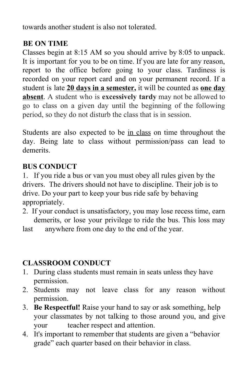towards another student is also not tolerated.

## **BE ON TIME**

Classes begin at 8:15 AM so you should arrive by 8:05 to unpack. It is important for you to be on time. If you are late for any reason, report to the office before going to your class. Tardiness is recorded on your report card and on your permanent record. If a student is late **20 days in a semester,** it will be counted as **one day absent**. A student who is **excessively tardy** may not be allowed to go to class on a given day until the beginning of the following period, so they do not disturb the class that is in session.

Students are also expected to be in class on time throughout the day. Being late to class without permission/pass can lead to demerits.

## **BUS CONDUCT**

1. If you ride a bus or van you must obey all rules given by the drivers. The drivers should not have to discipline. Their job is to drive. Do your part to keep your bus ride safe by behaving appropriately.

2. If your conduct is unsatisfactory, you may lose recess time, earn demerits, or lose your privilege to ride the bus. This loss may

last anywhere from one day to the end of the year.

## **CLASSROOM CONDUCT**

- 1. During class students must remain in seats unless they have permission.
- 2. Students may not leave class for any reason without permission.
- 3. **Be Respectful!** Raise your hand to say or ask something, help your classmates by not talking to those around you, and give your teacher respect and attention.
- 4. It's important to remember that students are given a "behavior grade" each quarter based on their behavior in class.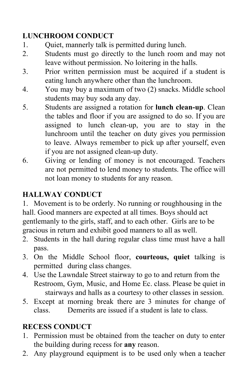## **LUNCHROOM CONDUCT**

- 1. Quiet, mannerly talk is permitted during lunch.
- 2. Students must go directly to the lunch room and may not leave without permission. No loitering in the halls.
- 3. Prior written permission must be acquired if a student is eating lunch anywhere other than the lunchroom.
- 4. You may buy a maximum of two (2) snacks. Middle school students may buy soda any day.
- 5. Students are assigned a rotation for **lunch clean-up**. Clean the tables and floor if you are assigned to do so. If you are assigned to lunch clean-up, you are to stay in the lunchroom until the teacher on duty gives you permission to leave. Always remember to pick up after yourself, even if you are not assigned clean-up duty.
- 6. Giving or lending of money is not encouraged. Teachers are not permitted to lend money to students. The office will not loan money to students for any reason.

## **HALLWAY CONDUCT**

1. Movement is to be orderly. No running or roughhousing in the hall. Good manners are expected at all times. Boys should act gentlemanly to the girls, staff, and to each other. Girls are to be gracious in return and exhibit good manners to all as well.

- 2. Students in the hall during regular class time must have a hall pass.
- 3. On the Middle School floor, **courteous, quiet** talking is permitted during class changes.
- 4. Use the Lawndale Street stairway to go to and return from the Restroom, Gym, Music, and Home Ec. class. Please be quiet in stairways and halls as a courtesy to other classes in session.
- 5. Except at morning break there are 3 minutes for change of class. Demerits are issued if a student is late to class.

## **RECESS CONDUCT**

- 1. Permission must be obtained from the teacher on duty to enter the building during recess for **any** reason.
- 2. Any playground equipment is to be used only when a teacher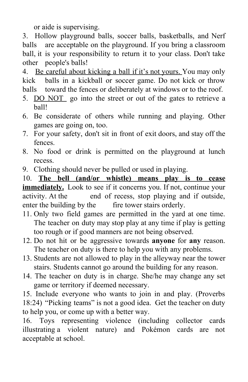or aide is supervising.

3. Hollow playground balls, soccer balls, basketballs, and Nerf balls are acceptable on the playground. If you bring a classroom ball, it is your responsibility to return it to your class. Don't take other people's balls!

4. Be careful about kicking a ball if it's not yours. You may only kick balls in a kickball or soccer game. Do not kick or throw balls toward the fences or deliberately at windows or to the roof.

- 5. DO NOT go into the street or out of the gates to retrieve a ball!
- 6. Be considerate of others while running and playing. Other games are going on, too.
- 7. For your safety, don't sit in front of exit doors, and stay off the fences.
- 8. No food or drink is permitted on the playground at lunch recess.
- 9. Clothing should never be pulled or used in playing.

10. **The bell (and/or whistle) means play is to cease immediately.** Look to see if it concerns you. If not, continue your activity. At the end of recess, stop playing and if outside, enter the building by the fire tower stairs orderly.

- 11. Only two field games are permitted in the yard at one time. The teacher on duty may stop play at any time if play is getting too rough or if good manners are not being observed.
- 12. Do not hit or be aggressive towards **anyone** for **any** reason. The teacher on duty is there to help you with any problems.
- 13. Students are not allowed to play in the alleyway near the tower stairs. Students cannot go around the building for any reason.
- 14. The teacher on duty is in charge. She/he may change any set game or territory if deemed necessary.

15. Include everyone who wants to join in and play. (Proverbs 18:24) "Picking teams" is not a good idea. Get the teacher on duty to help you, or come up with a better way.

16. Toys representing violence (including collector cards illustrating a violent nature) and Pokémon cards are not acceptable at school.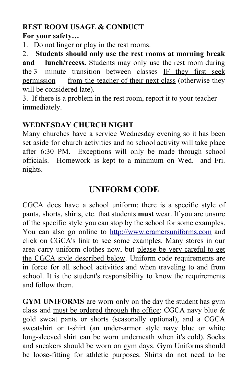## **REST ROOM USAGE & CONDUCT**

## **For your safety…**

1. Do not linger or play in the rest rooms.

2. **Students should only use the rest rooms at morning break and lunch/recess.** Students may only use the rest room during the 3 minute transition between classes IF they first seek permission from the teacher of their next class (otherwise they will be considered late).

3. If there is a problem in the rest room, report it to your teacher immediately.

## **WEDNESDAY CHURCH NIGHT**

Many churches have a service Wednesday evening so it has been set aside for church activities and no school activity will take place after 6:30 PM. Exceptions will only be made through school officials. Homework is kept to a minimum on Wed. and Fri. nights.

# **UNIFORM CODE**

CGCA does have a school uniform: there is a specific style of pants, shorts, shirts, etc. that students **must** wear. If you are unsure of the specific style you can stop by the school for some examples. You can also go online to [http://www.cramersuniforms.com](http://www.cramersuniforms.com/) and click on CGCA's link to see some examples. Many stores in our area carry uniform clothes now, but please be very careful to get the CGCA style described below. Uniform code requirements are in force for all school activities and when traveling to and from school. It is the student's responsibility to know the requirements and follow them.

**GYM UNIFORMS** are worn only on the day the student has gym class and must be ordered through the office: CGCA navy blue & gold sweat pants or shorts (seasonally optional), and a CGCA sweatshirt or t-shirt (an under-armor style navy blue or white long-sleeved shirt can be worn underneath when it's cold). Socks and sneakers should be worn on gym days. Gym Uniforms should be loose-fitting for athletic purposes. Shirts do not need to be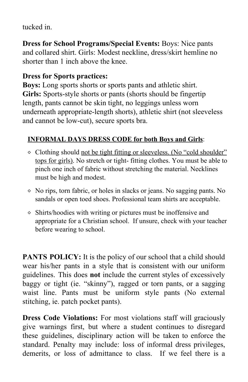tucked in.

**Dress for School Programs/Special Events:** Boys: Nice pants and collared shirt. Girls: Modest neckline, dress/skirt hemline no shorter than 1 inch above the knee.

## **Dress for Sports practices:**

**Boys:** Long sports shorts or sports pants and athletic shirt. **Girls:** Sports-style shorts or pants (shorts should be fingertip length, pants cannot be skin tight, no leggings unless worn underneath appropriate-length shorts), athletic shirt (not sleeveless and cannot be low-cut), secure sports bra.

#### **INFORMAL DAYS DRESS CODE for both Boys and Girls**:

- ⬥ Clothing should not be tight fitting or sleeveless. (No "cold shoulder" tops for girls). No stretch or tight- fitting clothes. You must be able to pinch one inch of fabric without stretching the material. Necklines must be high and modest.
- ⬥ No rips, torn fabric, or holes in slacks or jeans. No sagging pants. No sandals or open toed shoes. Professional team shirts are acceptable.
- ⬥ Shirts/hoodies with writing or pictures must be inoffensive and appropriate for a Christian school. If unsure, check with your teacher before wearing to school.

**PANTS POLICY:** It is the policy of our school that a child should wear his/her pants in a style that is consistent with our uniform guidelines. This does **not** include the current styles of excessively baggy or tight (ie. "skinny"), ragged or torn pants, or a sagging waist line. Pants must be uniform style pants (No external stitching, ie. patch pocket pants).

**Dress Code Violations:** For most violations staff will graciously give warnings first, but where a student continues to disregard these guidelines, disciplinary action will be taken to enforce the standard. Penalty may include: loss of informal dress privileges, demerits, or loss of admittance to class. If we feel there is a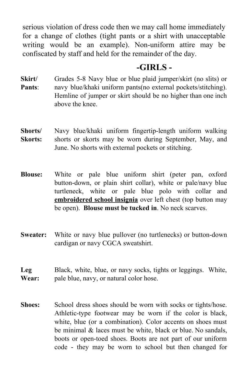serious violation of dress code then we may call home immediately for a change of clothes (tight pants or a shirt with unacceptable writing would be an example). Non-uniform attire may be confiscated by staff and held for the remainder of the day.

### **-GIRLS -**

- **Skirt/ Pants**: Grades 5-8 Navy blue or blue plaid jumper/skirt (no slits) or navy blue/khaki uniform pants(no external pockets/stitching). Hemline of jumper or skirt should be no higher than one inch above the knee.
- **Shorts/ Skorts:** Navy blue/khaki uniform fingertip-length uniform walking shorts or skorts may be worn during September, May, and June. No shorts with external pockets or stitching.
- **Blouse:** White or pale blue uniform shirt (peter pan, oxford button-down, or plain shirt collar), white or pale/navy blue turtleneck, white or pale blue polo with collar and **embroidered school insignia** over left chest (top button may be open). **Blouse must be tucked in**. No neck scarves.
- **Sweater:** White or navy blue pullover (no turtlenecks) or button-down cardigan or navy CGCA sweatshirt.
- **Leg Wear:** Black, white, blue, or navy socks, tights or leggings. White, pale blue, navy, or natural color hose.
- **Shoes:** School dress shoes should be worn with socks or tights/hose. Athletic-type footwear may be worn if the color is black, white, blue (or a combination). Color accents on shoes must be minimal & laces must be white, black or blue. No sandals, boots or open-toed shoes. Boots are not part of our uniform code - they may be worn to school but then changed for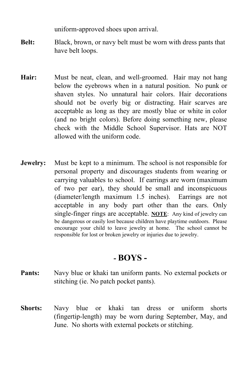uniform-approved shoes upon arrival.

- **Belt:** Black, brown, or navy belt must be worn with dress pants that have belt loops.
- **Hair:** Must be neat, clean, and well-groomed. Hair may not hang below the eyebrows when in a natural position. No punk or shaven styles. No unnatural hair colors. Hair decorations should not be overly big or distracting. Hair scarves are acceptable as long as they are mostly blue or white in color (and no bright colors). Before doing something new, please check with the Middle School Supervisor. Hats are NOT allowed with the uniform code.
- **Jewelry:** Must be kept to a minimum. The school is not responsible for personal property and discourages students from wearing or carrying valuables to school. If earrings are worn (maximum of two per ear), they should be small and inconspicuous (diameter/length maximum 1.5 inches). Earrings are not acceptable in any body part other than the ears. Only single-finger rings are acceptable. **NOTE**: Any kind of jewelry can be dangerous or easily lost because children have playtime outdoors. Please encourage your child to leave jewelry at home. The school cannot be responsible for lost or broken jewelry or injuries due to jewelry.

## **- BOYS -**

- **Pants:** Navy blue or khaki tan uniform pants. No external pockets or stitching (ie. No patch pocket pants).
- **Shorts:** Navy blue or khaki tan dress or uniform shorts (fingertip-length) may be worn during September, May, and June. No shorts with external pockets or stitching.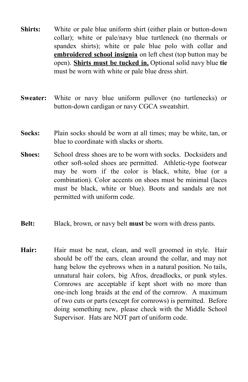- **Shirts:** White or pale blue uniform shirt (either plain or button-down collar); white or pale/navy blue turtleneck (no thermals or spandex shirts); white or pale blue polo with collar and **embroidered school insignia** on left chest (top button may be open). **Shirts must be tucked in.** Optional solid navy blue **tie** must be worn with white or pale blue dress shirt.
- **Sweater:** White or navy blue uniform pullover (no turtlenecks) or button-down cardigan or navy CGCA sweatshirt.
- **Socks:** Plain socks should be worn at all times; may be white, tan, or blue to coordinate with slacks or shorts.
- **Shoes:** School dress shoes are to be worn with socks. Docksiders and other soft-soled shoes are permitted. Athletic-type footwear may be worn if the color is black, white, blue (or a combination). Color accents on shoes must be minimal (laces must be black, white or blue). Boots and sandals are not permitted with uniform code.
- **Belt:** Black, brown, or navy belt **must** be worn with dress pants.
- **Hair:** Hair must be neat, clean, and well groomed in style. Hair should be off the ears, clean around the collar, and may not hang below the eyebrows when in a natural position. No tails, unnatural hair colors, big Afros, dreadlocks, or punk styles. Cornrows are acceptable if kept short with no more than one-inch long braids at the end of the cornrow. A maximum of two cuts or parts (except for cornrows) is permitted. Before doing something new, please check with the Middle School Supervisor. Hats are NOT part of uniform code.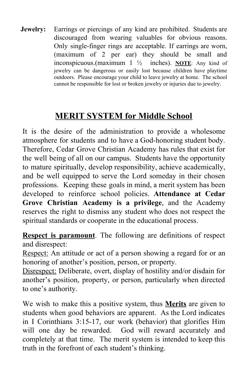**Jewelry:** Earrings or piercings of any kind are prohibited. Students are discouraged from wearing valuables for obvious reasons. Only single-finger rings are acceptable. If earrings are worn, (maximum of 2 per ear) they should be small and inconspicuous.(maximum 1 ½ inches). **NOTE**: Any kind of jewelry can be dangerous or easily lost because children have playtime outdoors. Please encourage your child to leave jewelry at home. The school cannot be responsible for lost or broken jewelry or injuries due to jewelry.

## **MERIT SYSTEM for Middle School**

It is the desire of the administration to provide a wholesome atmosphere for students and to have a God-honoring student body. Therefore, Cedar Grove Christian Academy has rules that exist for the well being of all on our campus. Students have the opportunity to mature spiritually, develop responsibility, achieve academically, and be well equipped to serve the Lord someday in their chosen professions. Keeping these goals in mind, a merit system has been developed to reinforce school policies. **Attendance at Cedar Grove Christian Academy is a privilege**, and the Academy reserves the right to dismiss any student who does not respect the spiritual standards or cooperate in the educational process.

**Respect is paramount**. The following are definitions of respect and disrespect:

Respect: An attitude or act of a person showing a regard for or an honoring of another's position, person, or property.

Disrespect: Deliberate, overt, display of hostility and/or disdain for another's position, property, or person, particularly when directed to one's authority.

We wish to make this a positive system, thus **Merits** are given to students when good behaviors are apparent. As the Lord indicates in I Corinthians 3:15-17, our work (behavior) that glorifies Him will one day be rewarded. God will reward accurately and completely at that time. The merit system is intended to keep this truth in the forefront of each student's thinking.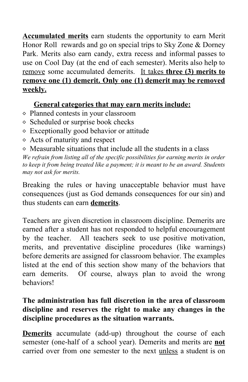**Accumulated merits** earn students the opportunity to earn Merit Honor Roll rewards and go on special trips to Sky Zone & Dorney Park. Merits also earn candy, extra recess and informal passes to use on Cool Day (at the end of each semester). Merits also help to remove some accumulated demerits. It takes **three (3) merits to remove one (1) demerit. Only one (1) demerit may be removed weekly.**

#### **General categories that may earn merits include:**

- ⬥ Planned contests in your classroom
- ⬥ Scheduled or surprise book checks
- ⬥ Exceptionally good behavior or attitude
- ⬥ Acts of maturity and respect
- $\Diamond$  Measurable situations that include all the students in a class

*We refrain from listing all of the specific possibilities for earning merits in order to keep it from being treated like a payment; it is meant to be an award. Students may not ask for merits.*

Breaking the rules or having unacceptable behavior must have consequences (just as God demands consequences for our sin) and thus students can earn **demerits**.

Teachers are given discretion in classroom discipline. Demerits are earned after a student has not responded to helpful encouragement by the teacher. All teachers seek to use positive motivation, merits, and preventative discipline procedures (like warnings) before demerits are assigned for classroom behavior. The examples listed at the end of this section show many of the behaviors that earn demerits. Of course, always plan to avoid the wrong behaviors!

### **The administration has full discretion in the area of classroom discipline and reserves the right to make any changes in the discipline procedures as the situation warrants.**

**Demerits** accumulate (add-up) throughout the course of each semester (one-half of a school year). Demerits and merits are **not** carried over from one semester to the next unless a student is on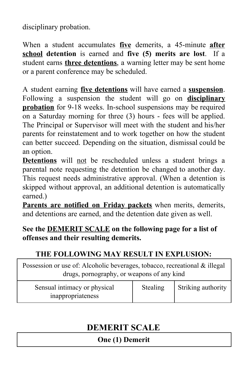disciplinary probation.

When a student accumulates **five** demerits, a 45-minute **after school detention** is earned and **five (5) merits are lost**. If a student earns **three detentions**, a warning letter may be sent home or a parent conference may be scheduled.

A student earning **five detentions** will have earned a **suspension**. Following a suspension the student will go on **disciplinary probation** for 9-18 weeks. In-school suspensions may be required on a Saturday morning for three (3) hours - fees will be applied. The Principal or Supervisor will meet with the student and his/her parents for reinstatement and to work together on how the student can better succeed. Depending on the situation, dismissal could be an option.

**Detentions** will not be rescheduled unless a student brings a parental note requesting the detention be changed to another day. This request needs administrative approval. (When a detention is skipped without approval, an additional detention is automatically earned.)

**Parents are notified on Friday packets** when merits, demerits, and detentions are earned, and the detention date given as well.

**See the DEMERIT SCALE on the following page for a list of offenses and their resulting demerits.**

## **THE FOLLOWING MAY RESULT IN EXPLUSION:**

Possession or use of: Alcoholic beverages, tobacco, recreational & illegal drugs, pornography, or weapons of any kind

| Sensual intimacy or physical<br>mappropriateness | Stealing | Striking authority |
|--------------------------------------------------|----------|--------------------|
|--------------------------------------------------|----------|--------------------|

# **DEMERIT SCALE**

## **One (1) Demerit**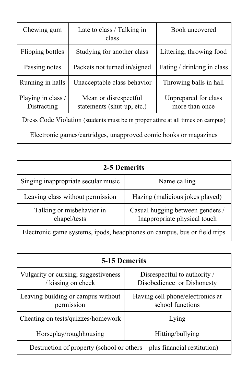| Chewing gum                                                                     | Late to class / Talking in<br>class                 | Book uncovered                         |  |
|---------------------------------------------------------------------------------|-----------------------------------------------------|----------------------------------------|--|
| Flipping bottles                                                                | Studying for another class                          | Littering, throwing food               |  |
| Passing notes                                                                   | Packets not turned in/signed                        | Eating / drinking in class             |  |
| Running in halls                                                                | Unacceptable class behavior                         | Throwing balls in hall                 |  |
| Playing in class /<br>Distracting                                               | Mean or disrespectful<br>statements (shut-up, etc.) | Unprepared for class<br>more than once |  |
| Dress Code Violation (students must be in proper attire at all times on campus) |                                                     |                                        |  |
| Electronic games/cartridges, unapproved comic books or magazines                |                                                     |                                        |  |

| 2-5 Demerits                                                             |                                                                  |  |
|--------------------------------------------------------------------------|------------------------------------------------------------------|--|
| Singing inappropriate secular music                                      | Name calling                                                     |  |
| Leaving class without permission                                         | Hazing (malicious jokes played)                                  |  |
| Talking or misbehavior in<br>chapel/tests                                | Casual hugging between genders /<br>Inappropriate physical touch |  |
| Electronic game systems, ipods, headphones on campus, bus or field trips |                                                                  |  |

| 5-15 Demerits                                                           |                                                            |  |
|-------------------------------------------------------------------------|------------------------------------------------------------|--|
| Vulgarity or cursing; suggestiveness<br>/ kissing on cheek              | Disrespectful to authority /<br>Disobedience or Dishonesty |  |
| Leaving building or campus without<br>permission                        | Having cell phone/electronics at<br>school functions       |  |
| Cheating on tests/quizzes/homework                                      | Lying                                                      |  |
| Horseplay/roughhousing                                                  | Hitting/bullying                                           |  |
| Destruction of property (school or others – plus financial restitution) |                                                            |  |